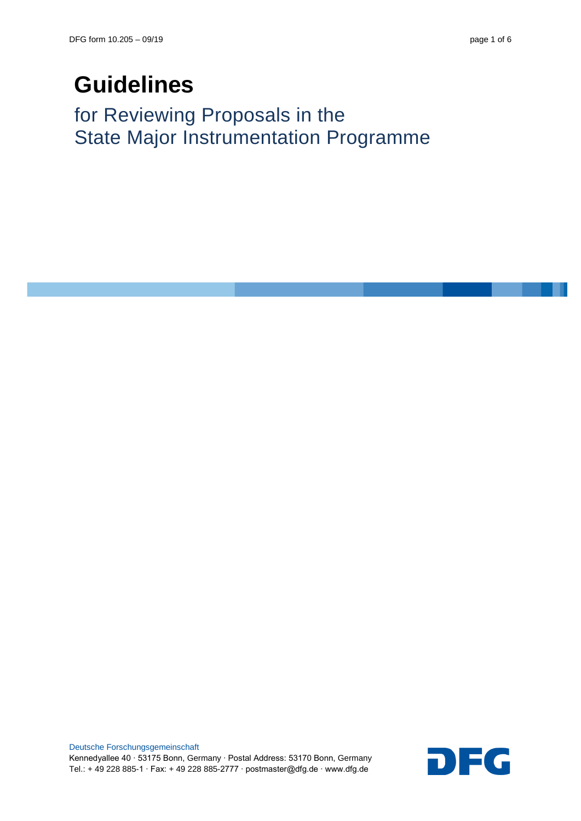# **Guidelines**

for Reviewing Proposals in the State Major Instrumentation Programme

Deutsche Forschungsgemeinschaft Kennedyallee 40 ∙ 53175 Bonn, Germany ∙ Postal Address: 53170 Bonn, Germany Deutsche Forschungsgemeinschaft<br>Kennedyallee 40 ⋅ 53175 Bonn, Germany ⋅ Postal Address: 53170 Bonn, Germany<br>Tel.: + 49 228 885-1 ⋅ Fax: + 49 228 885-2777 ⋅ postmaster@dfg.de ⋅ www.dfg.de

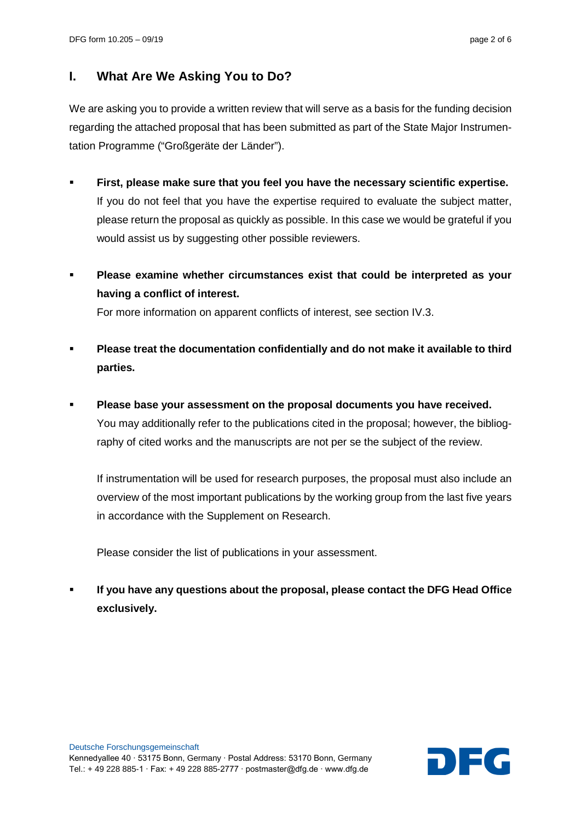## **I. What Are We Asking You to Do?**

We are asking you to provide a written review that will serve as a basis for the funding decision regarding the attached proposal that has been submitted as part of the State Major Instrumentation Programme ("Großgeräte der Länder").

- **First, please make sure that you feel you have the necessary scientific expertise.** If you do not feel that you have the expertise required to evaluate the subject matter, please return the proposal as quickly as possible. In this case we would be grateful if you would assist us by suggesting other possible reviewers.
- **Please examine whether circumstances exist that could be interpreted as your having a conflict of interest.**

For more information on apparent conflicts of interest, see section IV.3.

- **Please treat the documentation confidentially and do not make it available to third parties.**
- **Please base your assessment on the proposal documents you have received.** You may additionally refer to the publications cited in the proposal; however, the bibliography of cited works and the manuscripts are not per se the subject of the review.

If instrumentation will be used for research purposes, the proposal must also include an overview of the most important publications by the working group from the last five years in accordance with the Supplement on Research.

Please consider the list of publications in your assessment.

 **If you have any questions about the proposal, please contact the DFG Head Office exclusively.**

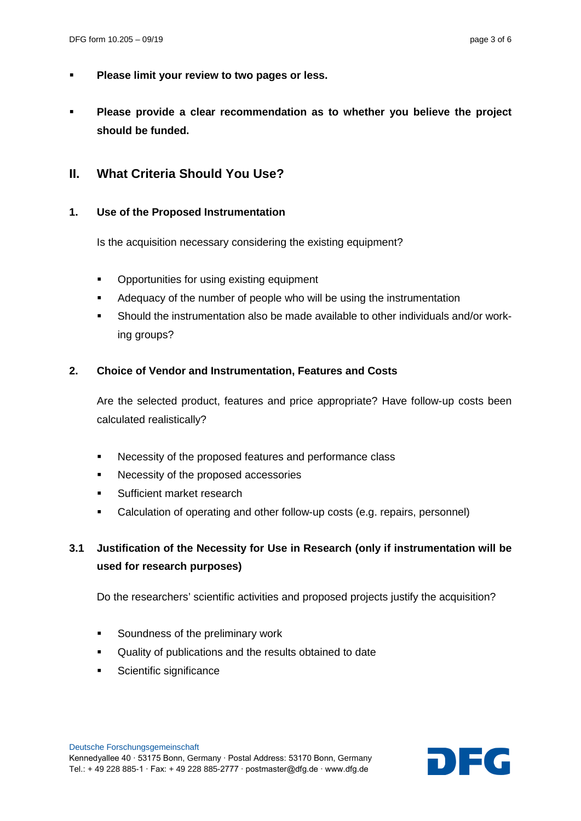- **Please limit your review to two pages or less.**
- **Please provide a clear recommendation as to whether you believe the project should be funded.**

### **II. What Criteria Should You Use?**

#### **1. Use of the Proposed Instrumentation**

Is the acquisition necessary considering the existing equipment?

- Opportunities for using existing equipment
- Adequacy of the number of people who will be using the instrumentation
- Should the instrumentation also be made available to other individuals and/or working groups?

#### **2. Choice of Vendor and Instrumentation, Features and Costs**

Are the selected product, features and price appropriate? Have follow-up costs been calculated realistically?

- Necessity of the proposed features and performance class
- Necessity of the proposed accessories
- Sufficient market research
- Calculation of operating and other follow-up costs (e.g. repairs, personnel)

## **3.1 Justification of the Necessity for Use in Research (only if instrumentation will be used for research purposes)**

Do the researchers' scientific activities and proposed projects justify the acquisition?

- Soundness of the preliminary work
- Quality of publications and the results obtained to date
- Scientific significance

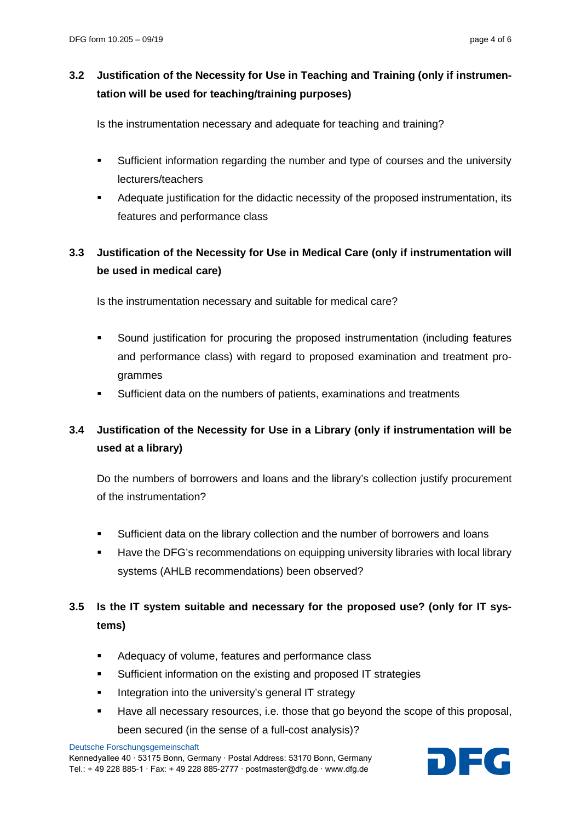## **3.2 Justification of the Necessity for Use in Teaching and Training (only if instrumentation will be used for teaching/training purposes)**

Is the instrumentation necessary and adequate for teaching and training?

- Sufficient information regarding the number and type of courses and the university lecturers/teachers
- Adequate justification for the didactic necessity of the proposed instrumentation, its features and performance class

# **3.3 Justification of the Necessity for Use in Medical Care (only if instrumentation will be used in medical care)**

Is the instrumentation necessary and suitable for medical care?

- Sound justification for procuring the proposed instrumentation (including features and performance class) with regard to proposed examination and treatment programmes
- Sufficient data on the numbers of patients, examinations and treatments

# **3.4 Justification of the Necessity for Use in a Library (only if instrumentation will be used at a library)**

Do the numbers of borrowers and loans and the library's collection justify procurement of the instrumentation?

- Sufficient data on the library collection and the number of borrowers and loans
- Have the DFG's recommendations on equipping university libraries with local library systems (AHLB recommendations) been observed?

# **3.5 Is the IT system suitable and necessary for the proposed use? (only for IT systems)**

- Adequacy of volume, features and performance class
- Sufficient information on the existing and proposed IT strategies
- Integration into the university's general IT strategy
- Have all necessary resources, i.e. those that go beyond the scope of this proposal, been secured (in the sense of a full-cost analysis)?

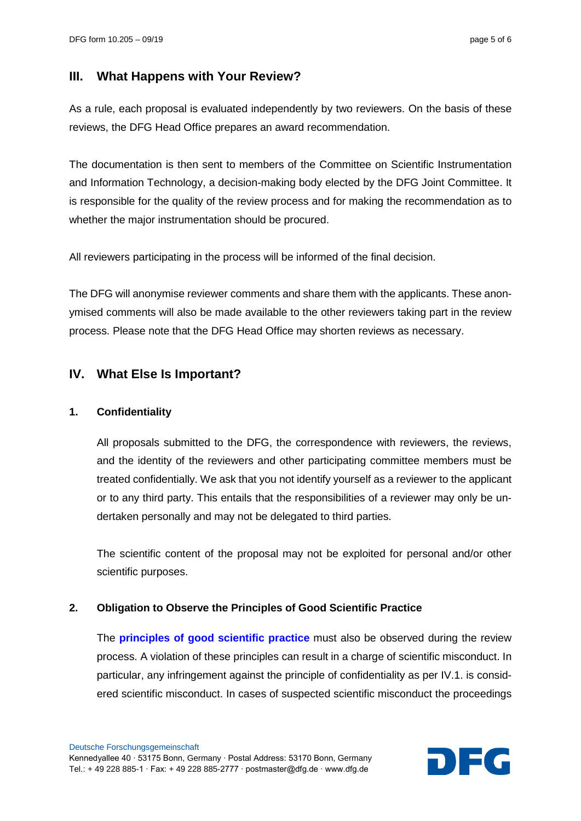## **III. What Happens with Your Review?**

As a rule, each proposal is evaluated independently by two reviewers. On the basis of these reviews, the DFG Head Office prepares an award recommendation.

The documentation is then sent to members of the Committee on Scientific Instrumentation and Information Technology, a decision-making body elected by the DFG Joint Committee. It is responsible for the quality of the review process and for making the recommendation as to whether the major instrumentation should be procured.

All reviewers participating in the process will be informed of the final decision.

The DFG will anonymise reviewer comments and share them with the applicants. These anonymised comments will also be made available to the other reviewers taking part in the review process. Please note that the DFG Head Office may shorten reviews as necessary.

## **IV. What Else Is Important?**

#### **1. Confidentiality**

All proposals submitted to the DFG, the correspondence with reviewers, the reviews, and the identity of the reviewers and other participating committee members must be treated confidentially. We ask that you not identify yourself as a reviewer to the applicant or to any third party. This entails that the responsibilities of a reviewer may only be undertaken personally and may not be delegated to third parties.

The scientific content of the proposal may not be exploited for personal and/or other scientific purposes.

#### **2. Obligation to Observe the Principles of Good Scientific Practice**

The **[principles of good scientific practice](https://www.dfg.de/en/research_funding/principles_dfg_funding/good_scientific_practice/index.html)** must also be observed during the review process. A violation of these principles can result in a charge of scientific misconduct. In particular, any infringement against the principle of confidentiality as per IV.1. is considered scientific misconduct. In cases of suspected scientific misconduct the proceedings